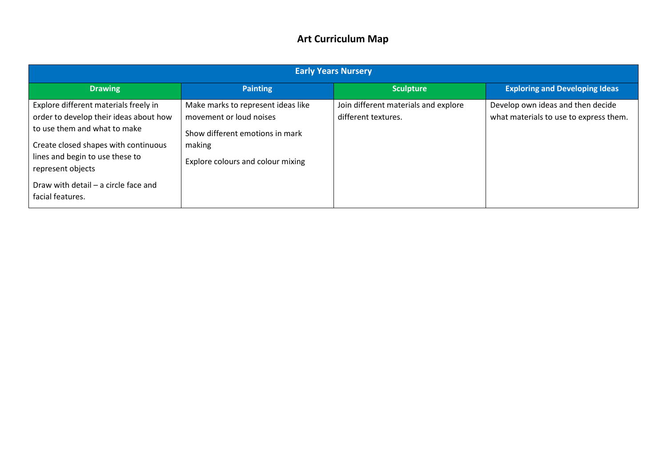## **Art Curriculum Map**

| <b>Early Years Nursery</b>                                                                                      |                                                                                                  |                                                             |                                                                             |  |  |  |  |
|-----------------------------------------------------------------------------------------------------------------|--------------------------------------------------------------------------------------------------|-------------------------------------------------------------|-----------------------------------------------------------------------------|--|--|--|--|
| <b>Drawing</b>                                                                                                  | <b>Painting</b>                                                                                  | <b>Sculpture</b>                                            | <b>Exploring and Developing Ideas</b>                                       |  |  |  |  |
| Explore different materials freely in<br>order to develop their ideas about how<br>to use them and what to make | Make marks to represent ideas like<br>movement or loud noises<br>Show different emotions in mark | Join different materials and explore<br>different textures. | Develop own ideas and then decide<br>what materials to use to express them. |  |  |  |  |
| Create closed shapes with continuous<br>lines and begin to use these to<br>represent objects                    | making<br>Explore colours and colour mixing                                                      |                                                             |                                                                             |  |  |  |  |
| Draw with detail - a circle face and<br>facial features.                                                        |                                                                                                  |                                                             |                                                                             |  |  |  |  |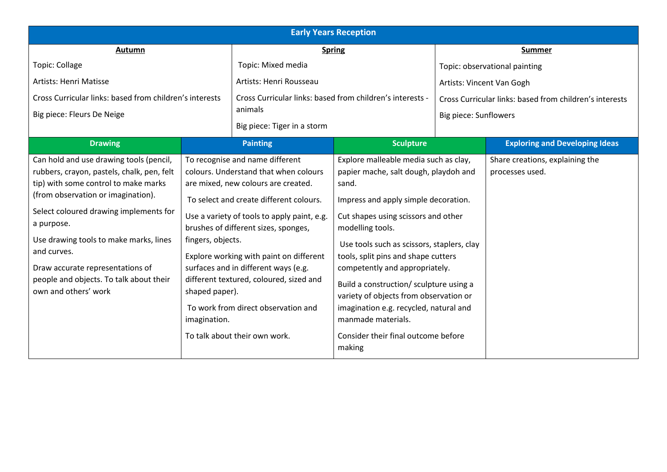| <b>Early Years Reception</b>                                                                                                                                                                                                                                                                                                                                                                |                                                                                                                                                                                                                                                                                                                                                                                                                                                                                                                |                         |                                                                                                                                                                                                                                                                                                                                                                                                                                                                                                                         |  |                                                                                  |  |  |
|---------------------------------------------------------------------------------------------------------------------------------------------------------------------------------------------------------------------------------------------------------------------------------------------------------------------------------------------------------------------------------------------|----------------------------------------------------------------------------------------------------------------------------------------------------------------------------------------------------------------------------------------------------------------------------------------------------------------------------------------------------------------------------------------------------------------------------------------------------------------------------------------------------------------|-------------------------|-------------------------------------------------------------------------------------------------------------------------------------------------------------------------------------------------------------------------------------------------------------------------------------------------------------------------------------------------------------------------------------------------------------------------------------------------------------------------------------------------------------------------|--|----------------------------------------------------------------------------------|--|--|
| Autumn<br><b>Spring</b>                                                                                                                                                                                                                                                                                                                                                                     |                                                                                                                                                                                                                                                                                                                                                                                                                                                                                                                |                         | <b>Summer</b>                                                                                                                                                                                                                                                                                                                                                                                                                                                                                                           |  |                                                                                  |  |  |
| Topic: Collage<br>Topic: Mixed media                                                                                                                                                                                                                                                                                                                                                        |                                                                                                                                                                                                                                                                                                                                                                                                                                                                                                                |                         |                                                                                                                                                                                                                                                                                                                                                                                                                                                                                                                         |  | Topic: observational painting                                                    |  |  |
| Artists: Henri Matisse                                                                                                                                                                                                                                                                                                                                                                      |                                                                                                                                                                                                                                                                                                                                                                                                                                                                                                                | Artists: Henri Rousseau | Artists: Vincent Van Gogh                                                                                                                                                                                                                                                                                                                                                                                                                                                                                               |  |                                                                                  |  |  |
| Big piece: Fleurs De Neige                                                                                                                                                                                                                                                                                                                                                                  | Cross Curricular links: based from children's interests<br>animals                                                                                                                                                                                                                                                                                                                                                                                                                                             |                         | Cross Curricular links: based from children's interests -<br>Big piece: Tiger in a storm                                                                                                                                                                                                                                                                                                                                                                                                                                |  | Cross Curricular links: based from children's interests<br>Big piece: Sunflowers |  |  |
| <b>Drawing</b>                                                                                                                                                                                                                                                                                                                                                                              |                                                                                                                                                                                                                                                                                                                                                                                                                                                                                                                | <b>Painting</b>         | <b>Sculpture</b>                                                                                                                                                                                                                                                                                                                                                                                                                                                                                                        |  | <b>Exploring and Developing Ideas</b>                                            |  |  |
| Can hold and use drawing tools (pencil,<br>rubbers, crayon, pastels, chalk, pen, felt<br>tip) with some control to make marks<br>(from observation or imagination).<br>Select coloured drawing implements for<br>a purpose.<br>Use drawing tools to make marks, lines<br>and curves.<br>Draw accurate representations of<br>people and objects. To talk about their<br>own and others' work | To recognise and name different<br>colours. Understand that when colours<br>are mixed, new colours are created.<br>To select and create different colours.<br>Use a variety of tools to apply paint, e.g.<br>brushes of different sizes, sponges,<br>fingers, objects.<br>Explore working with paint on different<br>surfaces and in different ways (e.g.<br>different textured, coloured, sized and<br>shaped paper).<br>To work from direct observation and<br>imagination.<br>To talk about their own work. |                         | Explore malleable media such as clay,<br>papier mache, salt dough, playdoh and<br>sand.<br>Impress and apply simple decoration.<br>Cut shapes using scissors and other<br>modelling tools.<br>Use tools such as scissors, staplers, clay<br>tools, split pins and shape cutters<br>competently and appropriately.<br>Build a construction/ sculpture using a<br>variety of objects from observation or<br>imagination e.g. recycled, natural and<br>manmade materials.<br>Consider their final outcome before<br>making |  | Share creations, explaining the<br>processes used.                               |  |  |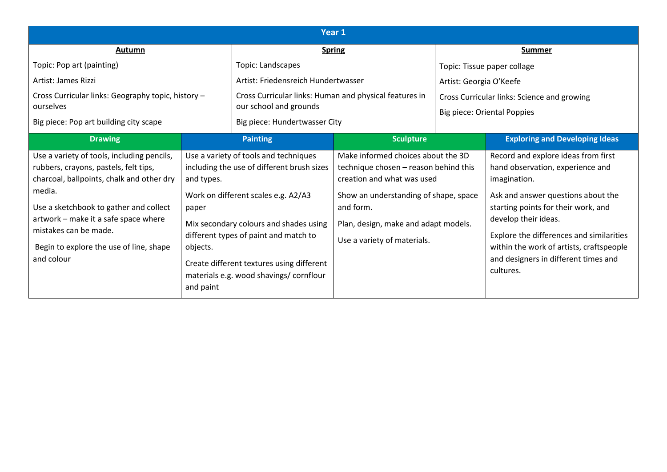| Year <sub>1</sub>                                                                                                                                                                                                                                                                                              |                                                                                                                                                                                                                                                                                                                                                       |                                                                                  |                                                                                                                                                                                                                                        |                                                                                   |                                                                                                                                                                                                                                                                                                                                           |  |
|----------------------------------------------------------------------------------------------------------------------------------------------------------------------------------------------------------------------------------------------------------------------------------------------------------------|-------------------------------------------------------------------------------------------------------------------------------------------------------------------------------------------------------------------------------------------------------------------------------------------------------------------------------------------------------|----------------------------------------------------------------------------------|----------------------------------------------------------------------------------------------------------------------------------------------------------------------------------------------------------------------------------------|-----------------------------------------------------------------------------------|-------------------------------------------------------------------------------------------------------------------------------------------------------------------------------------------------------------------------------------------------------------------------------------------------------------------------------------------|--|
| Autumn                                                                                                                                                                                                                                                                                                         |                                                                                                                                                                                                                                                                                                                                                       | <b>Spring</b>                                                                    |                                                                                                                                                                                                                                        | <b>Summer</b>                                                                     |                                                                                                                                                                                                                                                                                                                                           |  |
| Topic: Pop art (painting)                                                                                                                                                                                                                                                                                      |                                                                                                                                                                                                                                                                                                                                                       | Topic: Landscapes                                                                |                                                                                                                                                                                                                                        | Topic: Tissue paper collage                                                       |                                                                                                                                                                                                                                                                                                                                           |  |
| Artist: James Rizzi                                                                                                                                                                                                                                                                                            |                                                                                                                                                                                                                                                                                                                                                       | Artist: Friedensreich Hundertwasser                                              |                                                                                                                                                                                                                                        | Artist: Georgia O'Keefe                                                           |                                                                                                                                                                                                                                                                                                                                           |  |
| Cross Curricular links: Geography topic, history -<br>ourselves                                                                                                                                                                                                                                                |                                                                                                                                                                                                                                                                                                                                                       | Cross Curricular links: Human and physical features in<br>our school and grounds |                                                                                                                                                                                                                                        | Cross Curricular links: Science and growing<br><b>Big piece: Oriental Poppies</b> |                                                                                                                                                                                                                                                                                                                                           |  |
| Big piece: Pop art building city scape                                                                                                                                                                                                                                                                         |                                                                                                                                                                                                                                                                                                                                                       | Big piece: Hundertwasser City                                                    |                                                                                                                                                                                                                                        |                                                                                   |                                                                                                                                                                                                                                                                                                                                           |  |
| <b>Drawing</b>                                                                                                                                                                                                                                                                                                 | <b>Painting</b>                                                                                                                                                                                                                                                                                                                                       |                                                                                  | <b>Sculpture</b>                                                                                                                                                                                                                       |                                                                                   | <b>Exploring and Developing Ideas</b>                                                                                                                                                                                                                                                                                                     |  |
| Use a variety of tools, including pencils,<br>rubbers, crayons, pastels, felt tips,<br>charcoal, ballpoints, chalk and other dry<br>media.<br>Use a sketchbook to gather and collect<br>artwork - make it a safe space where<br>mistakes can be made.<br>Begin to explore the use of line, shape<br>and colour | Use a variety of tools and techniques<br>including the use of different brush sizes<br>and types.<br>Work on different scales e.g. A2/A3<br>paper<br>Mix secondary colours and shades using<br>different types of paint and match to<br>objects.<br>Create different textures using different<br>materials e.g. wood shavings/ cornflour<br>and paint |                                                                                  | Make informed choices about the 3D<br>technique chosen - reason behind this<br>creation and what was used<br>Show an understanding of shape, space<br>and form.<br>Plan, design, make and adapt models.<br>Use a variety of materials. |                                                                                   | Record and explore ideas from first<br>hand observation, experience and<br>imagination.<br>Ask and answer questions about the<br>starting points for their work, and<br>develop their ideas.<br>Explore the differences and similarities<br>within the work of artists, craftspeople<br>and designers in different times and<br>cultures. |  |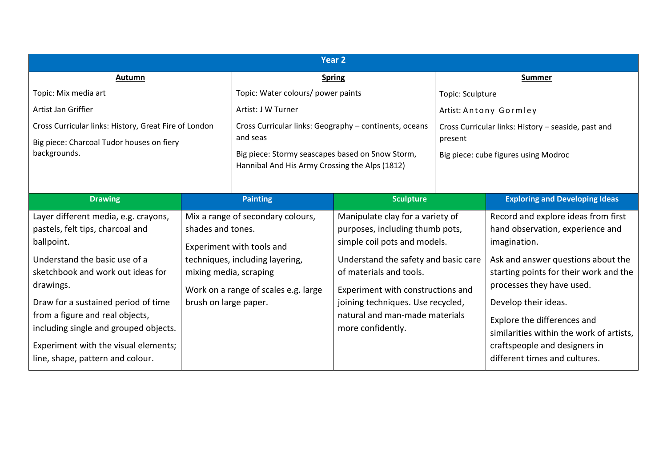| Year 2                                                |                        |                                                        |                                                                                                                                             |                                                     |                                                                                                                               |  |  |
|-------------------------------------------------------|------------------------|--------------------------------------------------------|---------------------------------------------------------------------------------------------------------------------------------------------|-----------------------------------------------------|-------------------------------------------------------------------------------------------------------------------------------|--|--|
| Autumn                                                |                        | <b>Spring</b>                                          |                                                                                                                                             | <b>Summer</b>                                       |                                                                                                                               |  |  |
| Topic: Mix media art                                  |                        |                                                        | Topic: Water colours/ power paints                                                                                                          |                                                     | Topic: Sculpture                                                                                                              |  |  |
| Artist Jan Griffier                                   |                        | Artist: J W Turner                                     |                                                                                                                                             | Artist: Antony Gormley                              |                                                                                                                               |  |  |
| Cross Curricular links: History, Great Fire of London |                        | Cross Curricular links: Geography - continents, oceans |                                                                                                                                             | Cross Curricular links: History - seaside, past and |                                                                                                                               |  |  |
| Big piece: Charcoal Tudor houses on fiery             |                        | and seas                                               |                                                                                                                                             | present                                             |                                                                                                                               |  |  |
| backgrounds.                                          |                        | Big piece: Stormy seascapes based on Snow Storm,       |                                                                                                                                             | Big piece: cube figures using Modroc                |                                                                                                                               |  |  |
|                                                       |                        | Hannibal And His Army Crossing the Alps (1812)         |                                                                                                                                             |                                                     |                                                                                                                               |  |  |
|                                                       |                        |                                                        |                                                                                                                                             |                                                     |                                                                                                                               |  |  |
| <b>Drawing</b>                                        |                        | <b>Painting</b>                                        | <b>Sculpture</b>                                                                                                                            |                                                     | <b>Exploring and Developing Ideas</b>                                                                                         |  |  |
| Layer different media, e.g. crayons,                  |                        | Mix a range of secondary colours,                      | Manipulate clay for a variety of<br>purposes, including thumb pots,<br>simple coil pots and models.<br>Understand the safety and basic care |                                                     | Record and explore ideas from first<br>hand observation, experience and<br>imagination.<br>Ask and answer questions about the |  |  |
| pastels, felt tips, charcoal and                      | shades and tones.      |                                                        |                                                                                                                                             |                                                     |                                                                                                                               |  |  |
| ballpoint.                                            |                        | Experiment with tools and                              |                                                                                                                                             |                                                     |                                                                                                                               |  |  |
| Understand the basic use of a                         |                        | techniques, including layering,                        |                                                                                                                                             |                                                     |                                                                                                                               |  |  |
| sketchbook and work out ideas for                     | mixing media, scraping |                                                        | of materials and tools.                                                                                                                     |                                                     | starting points for their work and the                                                                                        |  |  |
| drawings.                                             |                        | Work on a range of scales e.g. large                   | Experiment with constructions and                                                                                                           |                                                     | processes they have used.                                                                                                     |  |  |
| Draw for a sustained period of time                   | brush on large paper.  |                                                        | joining techniques. Use recycled,                                                                                                           |                                                     | Develop their ideas.                                                                                                          |  |  |
| from a figure and real objects,                       |                        |                                                        | natural and man-made materials                                                                                                              |                                                     | Explore the differences and                                                                                                   |  |  |
| including single and grouped objects.                 |                        |                                                        | more confidently.                                                                                                                           |                                                     | similarities within the work of artists,                                                                                      |  |  |
| Experiment with the visual elements;                  |                        |                                                        |                                                                                                                                             |                                                     | craftspeople and designers in                                                                                                 |  |  |
| line, shape, pattern and colour.                      |                        |                                                        |                                                                                                                                             |                                                     | different times and cultures.                                                                                                 |  |  |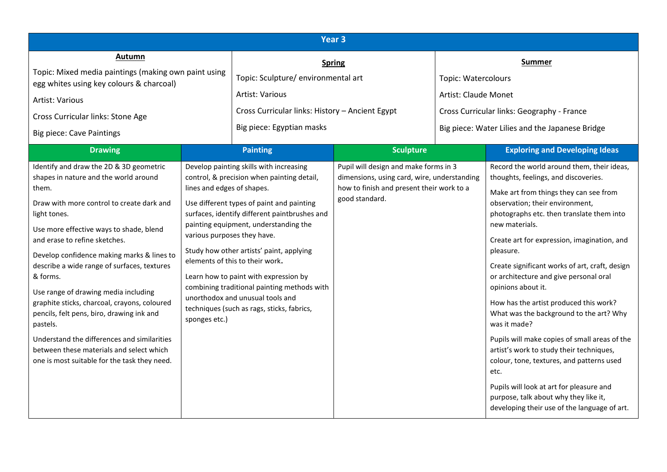| Year 3                                                                                                                                                                                                                                                                                                                                                                                                                                                                                                                                                                                                                                  |                                                                                                                                                                                                                                                                                                                                                                                                                                                                                                                                                                     |                                                 |                                                                                                                                                     |                            |                                                                                                                                                                                                                                                                                                                                                                                                                                                                                                                                                                                                                                                                                                                                                                                                          |  |  |
|-----------------------------------------------------------------------------------------------------------------------------------------------------------------------------------------------------------------------------------------------------------------------------------------------------------------------------------------------------------------------------------------------------------------------------------------------------------------------------------------------------------------------------------------------------------------------------------------------------------------------------------------|---------------------------------------------------------------------------------------------------------------------------------------------------------------------------------------------------------------------------------------------------------------------------------------------------------------------------------------------------------------------------------------------------------------------------------------------------------------------------------------------------------------------------------------------------------------------|-------------------------------------------------|-----------------------------------------------------------------------------------------------------------------------------------------------------|----------------------------|----------------------------------------------------------------------------------------------------------------------------------------------------------------------------------------------------------------------------------------------------------------------------------------------------------------------------------------------------------------------------------------------------------------------------------------------------------------------------------------------------------------------------------------------------------------------------------------------------------------------------------------------------------------------------------------------------------------------------------------------------------------------------------------------------------|--|--|
| Autumn                                                                                                                                                                                                                                                                                                                                                                                                                                                                                                                                                                                                                                  |                                                                                                                                                                                                                                                                                                                                                                                                                                                                                                                                                                     | <b>Spring</b>                                   |                                                                                                                                                     | <b>Summer</b>              |                                                                                                                                                                                                                                                                                                                                                                                                                                                                                                                                                                                                                                                                                                                                                                                                          |  |  |
| Topic: Mixed media paintings (making own paint using<br>egg whites using key colours & charcoal)                                                                                                                                                                                                                                                                                                                                                                                                                                                                                                                                        |                                                                                                                                                                                                                                                                                                                                                                                                                                                                                                                                                                     | Topic: Sculpture/ environmental art             |                                                                                                                                                     | <b>Topic: Watercolours</b> |                                                                                                                                                                                                                                                                                                                                                                                                                                                                                                                                                                                                                                                                                                                                                                                                          |  |  |
| <b>Artist: Various</b>                                                                                                                                                                                                                                                                                                                                                                                                                                                                                                                                                                                                                  |                                                                                                                                                                                                                                                                                                                                                                                                                                                                                                                                                                     | Artist: Various                                 |                                                                                                                                                     |                            | Artist: Claude Monet                                                                                                                                                                                                                                                                                                                                                                                                                                                                                                                                                                                                                                                                                                                                                                                     |  |  |
| Cross Curricular links: Stone Age                                                                                                                                                                                                                                                                                                                                                                                                                                                                                                                                                                                                       |                                                                                                                                                                                                                                                                                                                                                                                                                                                                                                                                                                     | Cross Curricular links: History - Ancient Egypt |                                                                                                                                                     |                            | Cross Curricular links: Geography - France                                                                                                                                                                                                                                                                                                                                                                                                                                                                                                                                                                                                                                                                                                                                                               |  |  |
| <b>Big piece: Cave Paintings</b>                                                                                                                                                                                                                                                                                                                                                                                                                                                                                                                                                                                                        |                                                                                                                                                                                                                                                                                                                                                                                                                                                                                                                                                                     | Big piece: Egyptian masks                       |                                                                                                                                                     |                            | Big piece: Water Lilies and the Japanese Bridge                                                                                                                                                                                                                                                                                                                                                                                                                                                                                                                                                                                                                                                                                                                                                          |  |  |
| <b>Drawing</b>                                                                                                                                                                                                                                                                                                                                                                                                                                                                                                                                                                                                                          |                                                                                                                                                                                                                                                                                                                                                                                                                                                                                                                                                                     | <b>Painting</b>                                 | <b>Sculpture</b>                                                                                                                                    |                            | <b>Exploring and Developing Ideas</b>                                                                                                                                                                                                                                                                                                                                                                                                                                                                                                                                                                                                                                                                                                                                                                    |  |  |
| Identify and draw the 2D & 3D geometric<br>shapes in nature and the world around<br>them.<br>Draw with more control to create dark and<br>light tones.<br>Use more effective ways to shade, blend<br>and erase to refine sketches.<br>Develop confidence making marks & lines to<br>describe a wide range of surfaces, textures<br>& forms.<br>Use range of drawing media including<br>graphite sticks, charcoal, crayons, coloured<br>pencils, felt pens, biro, drawing ink and<br>pastels.<br>Understand the differences and similarities<br>between these materials and select which<br>one is most suitable for the task they need. | Develop painting skills with increasing<br>control, & precision when painting detail,<br>lines and edges of shapes.<br>Use different types of paint and painting<br>surfaces, identify different paintbrushes and<br>painting equipment, understanding the<br>various purposes they have.<br>Study how other artists' paint, applying<br>elements of this to their work.<br>Learn how to paint with expression by<br>combining traditional painting methods with<br>unorthodox and unusual tools and<br>techniques (such as rags, sticks, fabrics,<br>sponges etc.) |                                                 | Pupil will design and make forms in 3<br>dimensions, using card, wire, understanding<br>how to finish and present their work to a<br>good standard. |                            | Record the world around them, their ideas,<br>thoughts, feelings, and discoveries.<br>Make art from things they can see from<br>observation; their environment,<br>photographs etc. then translate them into<br>new materials.<br>Create art for expression, imagination, and<br>pleasure.<br>Create significant works of art, craft, design<br>or architecture and give personal oral<br>opinions about it.<br>How has the artist produced this work?<br>What was the background to the art? Why<br>was it made?<br>Pupils will make copies of small areas of the<br>artist's work to study their techniques,<br>colour, tone, textures, and patterns used<br>etc.<br>Pupils will look at art for pleasure and<br>purpose, talk about why they like it,<br>developing their use of the language of art. |  |  |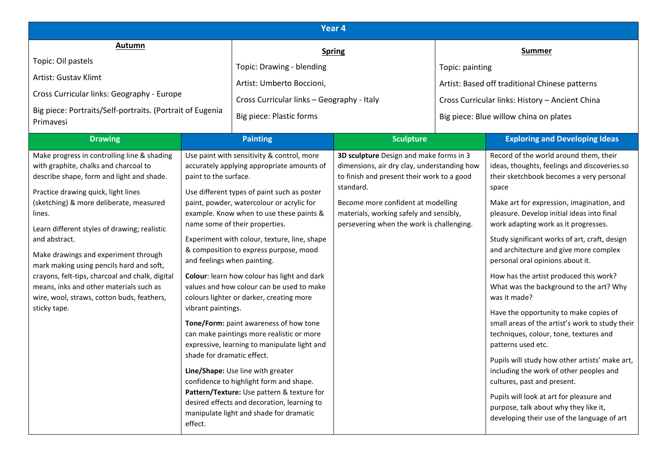| Year 4                                                                                                                                                                                                                                                                                                                                                                                                    |                                                                                                                                                                                                                                                                          |                                                                                                                                                                                                                                                                                                                                                                                                                                                                                                                                                                                                                                                                                                                                                                         |                                                                                                                                                                           |                 |                                                                                                                                                                                                                                                                                                                                                                                                                                                                                                                                                                                                                                                                                                                                                                                                           |  |  |
|-----------------------------------------------------------------------------------------------------------------------------------------------------------------------------------------------------------------------------------------------------------------------------------------------------------------------------------------------------------------------------------------------------------|--------------------------------------------------------------------------------------------------------------------------------------------------------------------------------------------------------------------------------------------------------------------------|-------------------------------------------------------------------------------------------------------------------------------------------------------------------------------------------------------------------------------------------------------------------------------------------------------------------------------------------------------------------------------------------------------------------------------------------------------------------------------------------------------------------------------------------------------------------------------------------------------------------------------------------------------------------------------------------------------------------------------------------------------------------------|---------------------------------------------------------------------------------------------------------------------------------------------------------------------------|-----------------|-----------------------------------------------------------------------------------------------------------------------------------------------------------------------------------------------------------------------------------------------------------------------------------------------------------------------------------------------------------------------------------------------------------------------------------------------------------------------------------------------------------------------------------------------------------------------------------------------------------------------------------------------------------------------------------------------------------------------------------------------------------------------------------------------------------|--|--|
| Autumn<br>Topic: Oil pastels<br>Artist: Gustav Klimt<br>Cross Curricular links: Geography - Europe<br>Big piece: Portraits/Self-portraits. (Portrait of Eugenia<br>Primavesi<br><b>Drawing</b><br>Make progress in controlling line & shading<br>with graphite, chalks and charcoal to<br>describe shape, form and light and shade.                                                                       | Topic: Drawing - blending<br>Artist: Umberto Boccioni,<br>Cross Curricular links - Geography - Italy<br>Big piece: Plastic forms<br><b>Painting</b><br>Use paint with sensitivity & control, more<br>accurately applying appropriate amounts of<br>paint to the surface. |                                                                                                                                                                                                                                                                                                                                                                                                                                                                                                                                                                                                                                                                                                                                                                         | <b>Spring</b><br><b>Sculpture</b><br>3D sculpture Design and make forms in 3<br>dimensions, air dry clay, understanding how<br>to finish and present their work to a good | Topic: painting | <b>Summer</b><br>Artist: Based off traditional Chinese patterns<br>Cross Curricular links: History - Ancient China<br>Big piece: Blue willow china on plates<br><b>Exploring and Developing Ideas</b><br>Record of the world around them, their<br>ideas, thoughts, feelings and discoveries.so<br>their sketchbook becomes a very personal                                                                                                                                                                                                                                                                                                                                                                                                                                                               |  |  |
| Practice drawing quick, light lines<br>(sketching) & more deliberate, measured<br>lines.<br>Learn different styles of drawing; realistic<br>and abstract.<br>Make drawings and experiment through<br>mark making using pencils hard and soft,<br>crayons, felt-tips, charcoal and chalk, digital<br>means, inks and other materials such as<br>wire, wool, straws, cotton buds, feathers,<br>sticky tape. | and feelings when painting.<br>vibrant paintings.<br>shade for dramatic effect.<br>effect.                                                                                                                                                                               | Use different types of paint such as poster<br>paint, powder, watercolour or acrylic for<br>example. Know when to use these paints &<br>name some of their properties.<br>Experiment with colour, texture, line, shape<br>& composition to express purpose, mood<br>Colour: learn how colour has light and dark<br>values and how colour can be used to make<br>colours lighter or darker, creating more<br>Tone/Form: paint awareness of how tone<br>can make paintings more realistic or more<br>expressive, learning to manipulate light and<br>Line/Shape: Use line with greater<br>confidence to highlight form and shape.<br>Pattern/Texture: Use pattern & texture for<br>desired effects and decoration, learning to<br>manipulate light and shade for dramatic | standard.<br>Become more confident at modelling<br>materials, working safely and sensibly,<br>persevering when the work is challenging.                                   |                 | space<br>Make art for expression, imagination, and<br>pleasure. Develop initial ideas into final<br>work adapting work as it progresses.<br>Study significant works of art, craft, design<br>and architecture and give more complex<br>personal oral opinions about it.<br>How has the artist produced this work?<br>What was the background to the art? Why<br>was it made?<br>Have the opportunity to make copies of<br>small areas of the artist's work to study their<br>techniques, colour, tone, textures and<br>patterns used etc.<br>Pupils will study how other artists' make art,<br>including the work of other peoples and<br>cultures, past and present.<br>Pupils will look at art for pleasure and<br>purpose, talk about why they like it,<br>developing their use of the language of art |  |  |